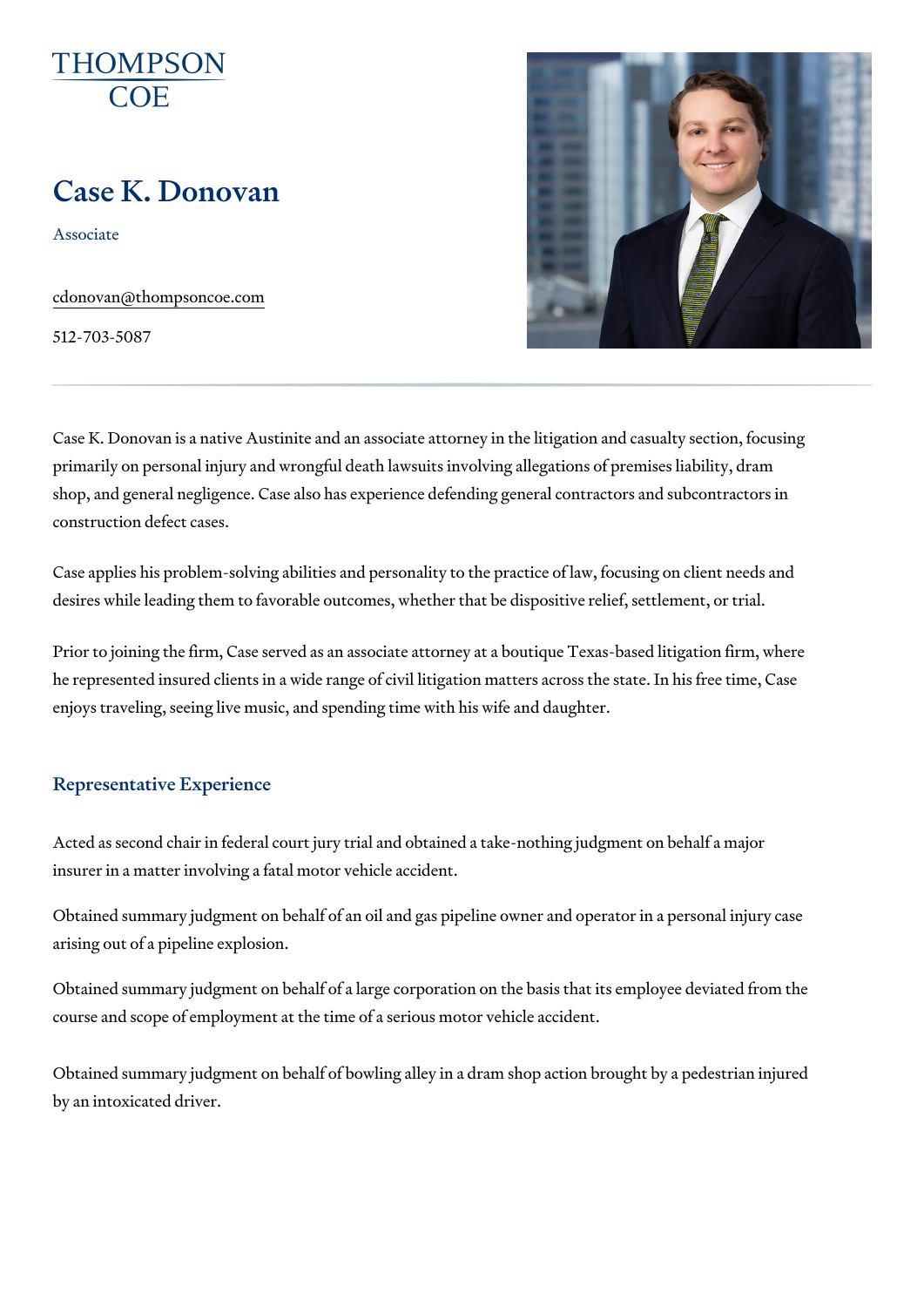# Case K. Donovan

Associate

[cdonovan@thomps](mailto:cdonovan@thompsoncoe.com)oncoe.com

512-703-5087

Case K. Donovan is a native Austinite and an associate attorney in the liti primarily on personal injury and wrongful death lawsuits involving allegati shop, and general negligence. Case also has experience defending general construction defect cases.

Case applies his problem-solving abilities and personality to the practice desires while leading them to favorable outcomes, whether that be dispositive relief.

Prior to joining the firm, Case served as an associate attorney at a boutiq he represented insured clients in a wide range of civil litigation matters a enjoys traveling, seeing live music, and spending time with his wife and da

#### Representative Experience

Acted as second chair in federal court jury trial and obtained a take-nothing insurer in a matter involving a fatal motor vehicle accident.

Obtained summary judgment on behalf of an oil and gas pipeline owner and arising out of a pipeline explosion.

Obtained summary judgment on behalf of a large corporation on the basis to course and scope of employment at the time of a serious motor vehicle acc

Obtained summary judgment on behalf of bowling alley in a dram shop acti by an intoxicated driver.